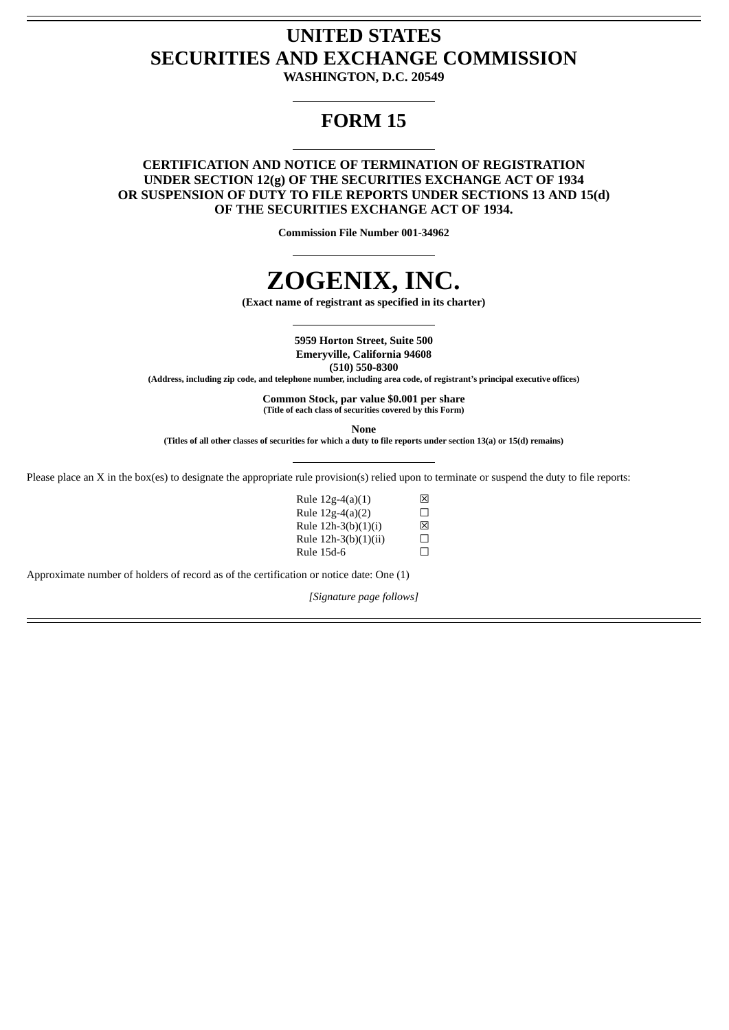## **UNITED STATES SECURITIES AND EXCHANGE COMMISSION**

**WASHINGTON, D.C. 20549**

### **FORM 15**

#### **CERTIFICATION AND NOTICE OF TERMINATION OF REGISTRATION UNDER SECTION 12(g) OF THE SECURITIES EXCHANGE ACT OF 1934 OR SUSPENSION OF DUTY TO FILE REPORTS UNDER SECTIONS 13 AND 15(d) OF THE SECURITIES EXCHANGE ACT OF 1934.**

**Commission File Number 001-34962**

# **ZOGENIX, INC.**

**(Exact name of registrant as specified in its charter)**

**5959 Horton Street, Suite 500 Emeryville, California 94608**

**(510) 550-8300**

**(Address, including zip code, and telephone number, including area code, of registrant's principal executive offices)**

**Common Stock, par value \$0.001 per share (Title of each class of securities covered by this Form)**

**None**

(Titles of all other classes of securities for which a duty to file reports under section 13(a) or 15(d) remains)

Please place an X in the box(es) to designate the appropriate rule provision(s) relied upon to terminate or suspend the duty to file reports:

| Rule $12g-4(a)(1)$   | ⊠ |
|----------------------|---|
| Rule 12g-4(a)(2)     | П |
| Rule 12h-3(b)(1)(i)  | ⊠ |
| Rule 12h-3(b)(1)(ii) | П |
| Rule 15d-6           | П |

Approximate number of holders of record as of the certification or notice date: One (1)

*[Signature page follows]*